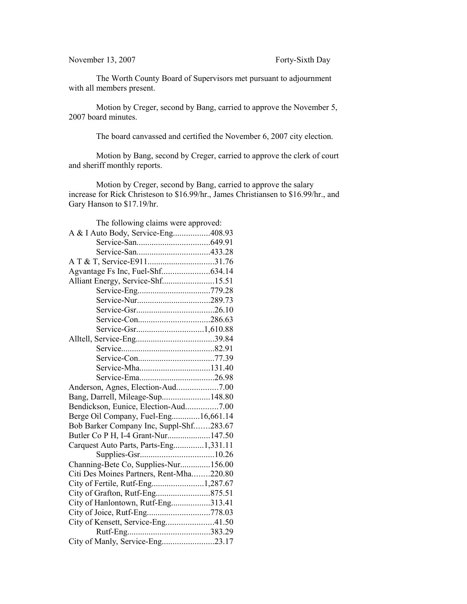## November 13, 2007 Forty-Sixth Day

The Worth County Board of Supervisors met pursuant to adjournment with all members present.

Motion by Creger, second by Bang, carried to approve the November 5, 2007 board minutes.

The board canvassed and certified the November 6, 2007 city election.

Motion by Bang, second by Creger, carried to approve the clerk of court and sheriff monthly reports.

Motion by Creger, second by Bang, carried to approve the salary increase for Rick Christeson to \$16.99/hr., James Christiansen to \$16.99/hr., and Gary Hanson to \$17.19/hr.

| The following claims were approved:      |  |
|------------------------------------------|--|
| A & I Auto Body, Service-Eng408.93       |  |
|                                          |  |
|                                          |  |
| A T & T, Service-E91131.76               |  |
|                                          |  |
| Alliant Energy, Service-Shf15.51         |  |
|                                          |  |
|                                          |  |
|                                          |  |
|                                          |  |
|                                          |  |
|                                          |  |
|                                          |  |
|                                          |  |
| Service-Mha131.40                        |  |
|                                          |  |
|                                          |  |
| Bang, Darrell, Mileage-Sup148.80         |  |
| Bendickson, Eunice, Election-Aud7.00     |  |
| Berge Oil Company, Fuel-Eng16,661.14     |  |
| Bob Barker Company Inc, Suppl-Shf283.67  |  |
| Butler Co P H, I-4 Grant-Nur147.50       |  |
| Carquest Auto Parts, Parts-Eng1,331.11   |  |
|                                          |  |
| Channing-Bete Co, Supplies-Nur156.00     |  |
| Citi Des Moines Partners, Rent-Mha220.80 |  |
|                                          |  |
|                                          |  |
| City of Hanlontown, Rutf-Eng313.41       |  |
| City of Joice, Rutf-Eng778.03            |  |
| City of Kensett, Service-Eng41.50        |  |
|                                          |  |
| City of Manly, Service-Eng23.17          |  |
|                                          |  |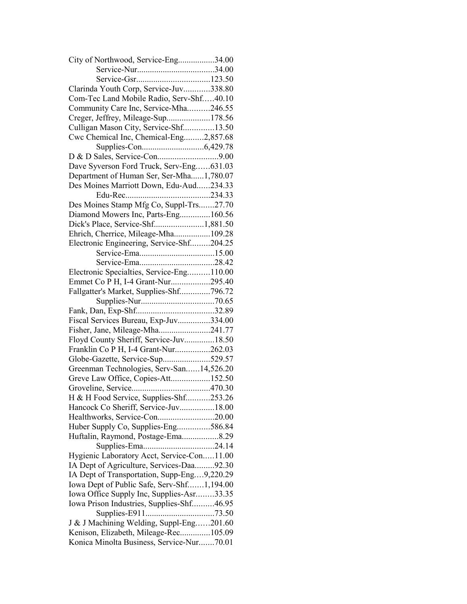| City of Northwood, Service-Eng34.00         |  |
|---------------------------------------------|--|
|                                             |  |
|                                             |  |
| Clarinda Youth Corp, Service-Juv338.80      |  |
| Com-Tec Land Mobile Radio, Serv-Shf40.10    |  |
| Community Care Inc, Service-Mha246.55       |  |
| Creger, Jeffrey, Mileage-Sup178.56          |  |
| Culligan Mason City, Service-Shf13.50       |  |
| Cwc Chemical Inc, Chemical-Eng2,857.68      |  |
|                                             |  |
|                                             |  |
| Dave Syverson Ford Truck, Serv-Eng631.03    |  |
| Department of Human Ser, Ser-Mha1,780.07    |  |
| Des Moines Marriott Down, Edu-Aud234.33     |  |
|                                             |  |
| Des Moines Stamp Mfg Co, Suppl-Trs27.70     |  |
| Diamond Mowers Inc, Parts-Eng160.56         |  |
| Dick's Place, Service-Shf1,881.50           |  |
| Ehrich, Cherrice, Mileage-Mha109.28         |  |
| Electronic Engineering, Service-Shf204.25   |  |
|                                             |  |
|                                             |  |
| Electronic Specialties, Service-Eng110.00   |  |
| Emmet Co P H, I-4 Grant-Nur295.40           |  |
| Fallgatter's Market, Supplies-Shf796.72     |  |
|                                             |  |
|                                             |  |
| Fiscal Services Bureau, Exp-Juv334.00       |  |
| Fisher, Jane, Mileage-Mha241.77             |  |
| Floyd County Sheriff, Service-Juv18.50      |  |
| Franklin Co P H, I-4 Grant-Nur262.03        |  |
| Globe-Gazette, Service-Sup529.57            |  |
| Greenman Technologies, Serv-San14,526.20    |  |
| Greve Law Office, Copies-Att152.50          |  |
|                                             |  |
| H & H Food Service, Supplies-Shf253.26      |  |
| Hancock Co Sheriff, Service-Juv18.00        |  |
| Healthworks, Service-Con20.00               |  |
| Huber Supply Co, Supplies-Eng586.84         |  |
| Huftalin, Raymond, Postage-Ema8.29          |  |
| Supplies-Ema24.14                           |  |
| Hygienic Laboratory Acct, Service-Con11.00  |  |
| IA Dept of Agriculture, Services-Daa92.30   |  |
|                                             |  |
| IA Dept of Transportation, Supp-Eng9,220.29 |  |
| Iowa Dept of Public Safe, Serv-Shf1,194.00  |  |
| Iowa Office Supply Inc, Supplies-Asr33.35   |  |
| Iowa Prison Industries, Supplies-Shf46.95   |  |
|                                             |  |
| J & J Machining Welding, Suppl-Eng201.60    |  |
| Kenison, Elizabeth, Mileage-Rec105.09       |  |
| Konica Minolta Business, Service-Nur70.01   |  |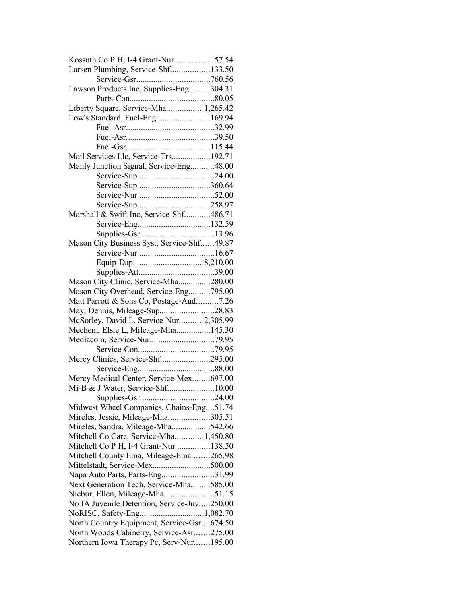| Kossuth Co P H, I-4 Grant-Nur57.54          |  |
|---------------------------------------------|--|
| Larsen Plumbing, Service-Shf133.50          |  |
|                                             |  |
| Lawson Products Inc, Supplies-Eng304.31     |  |
|                                             |  |
| Liberty Square, Service-Mha1,265.42         |  |
| Low's Standard, Fuel-Eng169.94              |  |
|                                             |  |
|                                             |  |
|                                             |  |
| Mail Services Llc, Service-Trs192.71        |  |
| Manly Junction Signal, Service-Eng48.00     |  |
|                                             |  |
|                                             |  |
|                                             |  |
|                                             |  |
|                                             |  |
| Marshall & Swift Inc, Service-Shf486.71     |  |
|                                             |  |
|                                             |  |
| Mason City Business Syst, Service-Shf49.87  |  |
|                                             |  |
|                                             |  |
|                                             |  |
| Mason City Clinic, Service-Mha280.00        |  |
| Mason City Overhead, Service-Eng795.00      |  |
| Matt Parrott & Sons Co, Postage-Aud7.26     |  |
| May, Dennis, Mileage-Sup28.83               |  |
| McSorley, David L, Service-Nur2,305.99      |  |
| Mechem, Elsie L, Mileage-Mha145.30          |  |
|                                             |  |
|                                             |  |
| Mercy Clinics, Service-Shf295.00            |  |
|                                             |  |
|                                             |  |
| Mercy Medical Center, Service-Mex697.00     |  |
|                                             |  |
|                                             |  |
| Midwest Wheel Companies, Chains-Eng51.74    |  |
| Mireles, Jessie, Mileage-Mha305.51          |  |
| Mireles, Sandra, Mileage-Mha542.66          |  |
| Mitchell Co Care, Service-Mha1,450.80       |  |
| Mitchell Co P H, I-4 Grant-Nur138.50        |  |
| Mitchell County Ema, Mileage-Ema265.98      |  |
| Mittelstadt, Service-Mex500.00              |  |
| Napa Auto Parts, Parts-Eng31.99             |  |
| Next Generation Tech, Service-Mha585.00     |  |
| Niebur, Ellen, Mileage-Mha51.15             |  |
| No IA Juvenile Detention, Service-Juv250.00 |  |
| NoRISC, Safety-Eng1,082.70                  |  |
| North Country Equipment, Service-Gsr674.50  |  |
| North Woods Cabinetry, Service-Asr275.00    |  |
| Northern Iowa Therapy Pc, Serv-Nur195.00    |  |
|                                             |  |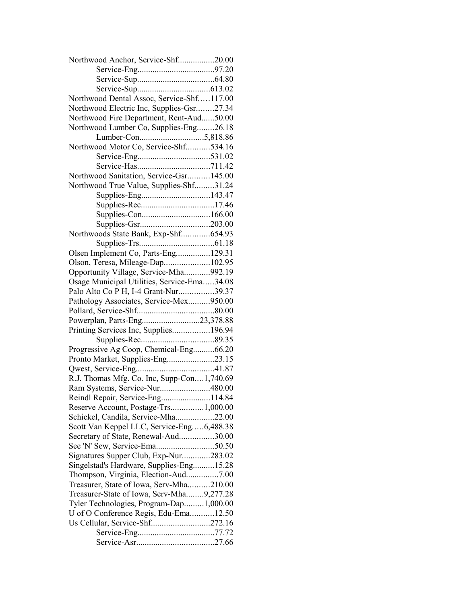| Northwood Anchor, Service-Shf20.00          |  |
|---------------------------------------------|--|
|                                             |  |
|                                             |  |
|                                             |  |
| Northwood Dental Assoc, Service-Shf117.00   |  |
| Northwood Electric Inc, Supplies-Gsr27.34   |  |
| Northwood Fire Department, Rent-Aud50.00    |  |
| Northwood Lumber Co, Supplies-Eng26.18      |  |
|                                             |  |
| Northwood Motor Co, Service-Shf534.16       |  |
|                                             |  |
|                                             |  |
| Northwood Sanitation, Service-Gsr145.00     |  |
| Northwood True Value, Supplies-Shf31.24     |  |
|                                             |  |
|                                             |  |
|                                             |  |
|                                             |  |
| Northwoods State Bank, Exp-Shf654.93        |  |
|                                             |  |
| Olsen Implement Co, Parts-Eng129.31         |  |
| Olson, Teresa, Mileage-Dap102.95            |  |
| Opportunity Village, Service-Mha992.19      |  |
| Osage Municipal Utilities, Service-Ema34.08 |  |
| Palo Alto Co P H, I-4 Grant-Nur39.37        |  |
| Pathology Associates, Service-Mex950.00     |  |
|                                             |  |
| Powerplan, Parts-Eng23,378.88               |  |
| Printing Services Inc, Supplies196.94       |  |
|                                             |  |
| Progressive Ag Coop, Chemical-Eng66.20      |  |
| Pronto Market, Supplies-Eng23.15            |  |
|                                             |  |
| R.J. Thomas Mfg. Co. Inc, Supp-Con1,740.69  |  |
| Ram Systems, Service-Nur480.00              |  |
| Reindl Repair, Service-Eng114.84            |  |
| Reserve Account, Postage-Trs1,000.00        |  |
| Schickel, Candila, Service-Mha22.00         |  |
| Scott Van Keppel LLC, Service-Eng6,488.38   |  |
| Secretary of State, Renewal-Aud30.00        |  |
| See 'N' Sew, Service-Ema50.50               |  |
| Signatures Supper Club, Exp-Nur283.02       |  |
| Singelstad's Hardware, Supplies-Eng15.28    |  |
| Thompson, Virginia, Election-Aud7.00        |  |
| Treasurer, State of Iowa, Serv-Mha210.00    |  |
| Treasurer-State of Iowa, Serv-Mha9,277.28   |  |
| Tyler Technologies, Program-Dap1,000.00     |  |
| U of O Conference Regis, Edu-Ema12.50       |  |
| Us Cellular, Service-Shf272.16              |  |
|                                             |  |
|                                             |  |
|                                             |  |